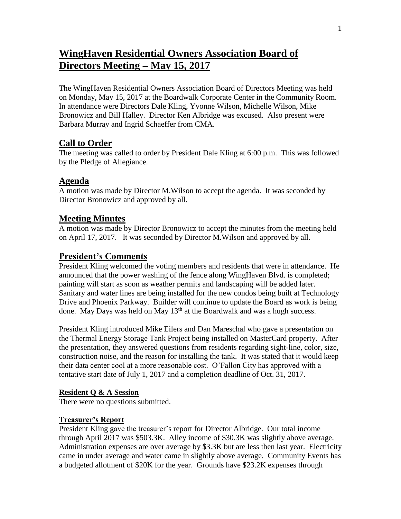# **WingHaven Residential Owners Association Board of Directors Meeting – May 15, 2017**

The WingHaven Residential Owners Association Board of Directors Meeting was held on Monday, May 15, 2017 at the Boardwalk Corporate Center in the Community Room. In attendance were Directors Dale Kling, Yvonne Wilson, Michelle Wilson, Mike Bronowicz and Bill Halley. Director Ken Albridge was excused. Also present were Barbara Murray and Ingrid Schaeffer from CMA.

## **Call to Order**

The meeting was called to order by President Dale Kling at 6:00 p.m. This was followed by the Pledge of Allegiance.

## **Agenda**

A motion was made by Director M.Wilson to accept the agenda. It was seconded by Director Bronowicz and approved by all.

## **Meeting Minutes**

A motion was made by Director Bronowicz to accept the minutes from the meeting held on April 17, 2017. It was seconded by Director M.Wilson and approved by all.

## **President's Comments**

President Kling welcomed the voting members and residents that were in attendance. He announced that the power washing of the fence along WingHaven Blvd. is completed; painting will start as soon as weather permits and landscaping will be added later. Sanitary and water lines are being installed for the new condos being built at Technology Drive and Phoenix Parkway. Builder will continue to update the Board as work is being done. May Days was held on May  $13<sup>th</sup>$  at the Boardwalk and was a hugh success.

President Kling introduced Mike Eilers and Dan Mareschal who gave a presentation on the Thermal Energy Storage Tank Project being installed on MasterCard property. After the presentation, they answered questions from residents regarding sight-line, color, size, construction noise, and the reason for installing the tank. It was stated that it would keep their data center cool at a more reasonable cost. O'Fallon City has approved with a tentative start date of July 1, 2017 and a completion deadline of Oct. 31, 2017.

#### **Resident Q & A Session**

There were no questions submitted.

#### **Treasurer's Report**

President Kling gave the treasurer's report for Director Albridge. Our total income through April 2017 was \$503.3K. Alley income of \$30.3K was slightly above average. Administration expenses are over average by \$3.3K but are less then last year. Electricity came in under average and water came in slightly above average. Community Events has a budgeted allotment of \$20K for the year. Grounds have \$23.2K expenses through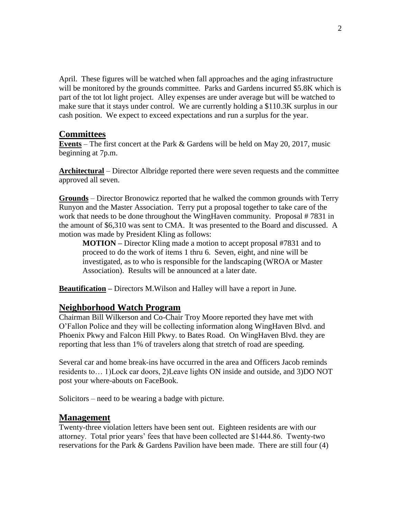April. These figures will be watched when fall approaches and the aging infrastructure will be monitored by the grounds committee. Parks and Gardens incurred \$5.8K which is part of the tot lot light project. Alley expenses are under average but will be watched to make sure that it stays under control. We are currently holding a \$110.3K surplus in our cash position. We expect to exceed expectations and run a surplus for the year.

#### **Committees**

**Events** – The first concert at the Park & Gardens will be held on May 20, 2017, music beginning at 7p.m.

**Architectural** – Director Albridge reported there were seven requests and the committee approved all seven.

**Grounds** – Director Bronowicz reported that he walked the common grounds with Terry Runyon and the Master Association. Terry put a proposal together to take care of the work that needs to be done throughout the WingHaven community. Proposal #7831 in the amount of \$6,310 was sent to CMA. It was presented to the Board and discussed. A motion was made by President Kling as follows:

**MOTION –** Director Kling made a motion to accept proposal #7831 and to proceed to do the work of items 1 thru 6. Seven, eight, and nine will be investigated, as to who is responsible for the landscaping (WROA or Master Association). Results will be announced at a later date.

**Beautification –** Directors M.Wilson and Halley will have a report in June.

#### **Neighborhood Watch Program**

Chairman Bill Wilkerson and Co-Chair Troy Moore reported they have met with O'Fallon Police and they will be collecting information along WingHaven Blvd. and Phoenix Pkwy and Falcon Hill Pkwy. to Bates Road. On WingHaven Blvd. they are reporting that less than 1% of travelers along that stretch of road are speeding.

Several car and home break-ins have occurred in the area and Officers Jacob reminds residents to… 1)Lock car doors, 2)Leave lights ON inside and outside, and 3)DO NOT post your where-abouts on FaceBook.

Solicitors – need to be wearing a badge with picture.

#### **Management**

Twenty-three violation letters have been sent out. Eighteen residents are with our attorney. Total prior years' fees that have been collected are \$1444.86. Twenty-two reservations for the Park & Gardens Pavilion have been made. There are still four (4)